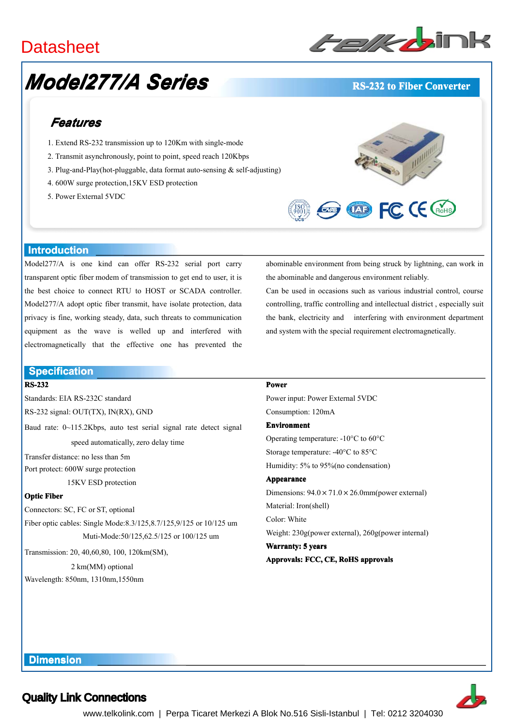## **Datasheet**

# *Model277/A Series*



#### **RS-232 to Fiber Converter**

## *Features*

- 1. Extend RS-232 transmission up to 120Km with single-mode
- 2. Transmit asynchronously, point to point, speed reach 120Kbps
- 3. Plug-and-Play(hot-pluggable, data format auto-sensing & self-adjusting)
- 4. 600W surge protection,15KV ESD protection
- 5. Power External 5VDC



abominable environment from being struck by lightning, can work in

Can be used in occasions such as various industrial control, course controlling, traffic controlling and intellectual district , especially suit the bank, electricity and interfering with environment department

and system with the special requirement electromagnetically.

the abominable and dangerous environment reliably.

#### **Introduction Introduction**

Model277/A is one kind can offer RS-232 serial por<sup>t</sup> carry transparent optic fiber modem of transmission to ge<sup>t</sup> end to user, it is the best choice to connect RTU to HOST or SCADA controller. Model277/A adopt optic fiber transmit, have isolate protection, data privacy is fine, working steady, data, such threats to communication equipment as the wave is welled up and interfered with electromagnetically that the effective one has prevented the

#### **Specification**

#### **RS-232**

Standards: EIA RS-232C standard RS-232 signal: OUT(TX), IN(RX), GND

Baud rate: 0~115.2Kbps, auto test serial signal rate detect signal speed automatically, zero delay time

Transfer distance: no less than 5m Port protect: 600W surge protection

15KV ESD protection

#### **Optic Fiber**

Connectors: SC, FC or ST, optional

Fiber optic cables: Single Mode:8.3/125,8.7/125,9/125 or 10/125 um Muti-Mode:50/125,62.5/125 or 100/125 um

Transmission: 20, 40,60,80, 100, 120km(SM),

2 km(MM) optional Wavelength: 850nm, 1310nm,1550nm

#### **Power**

Power input: Power External 5VDC Consumption: 120mA **Environment** Operating temperature: -10°C to 60°C Storage temperature: -40°C to 85°C Humidity: 5% to 95%(no condensation) **Appearance Appearance** Dimensions:  $94.0 \times 71.0 \times 26.0$ mm(power external) Material: Iron(shell) Color: White Weight: 230g(power external), 260g(power internal) **Warranty: Warranty: 5 years**

**Approvals: FCC, CE, RoHS approvals**



### Quality Link Connections

**Dimension Dimension**

www.telkolink.com | Perpa Ticaret Merkezi A Blok No.516 Sisli-Istanbul | Tel: 0212 3204030